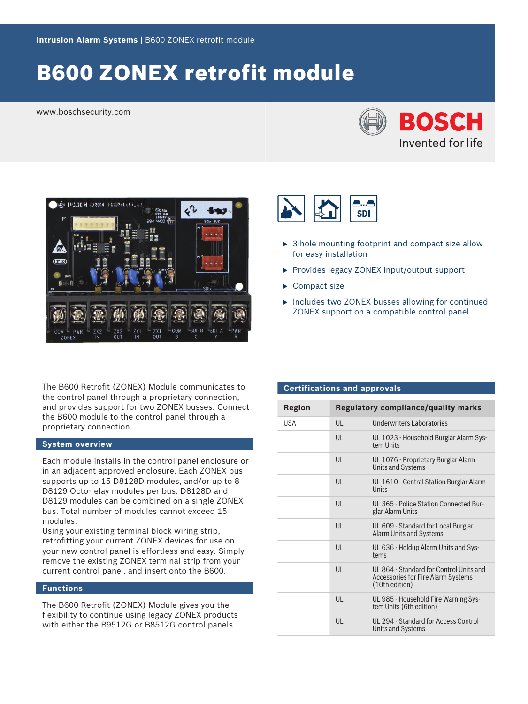# B600 ZONEX retrofit module

www.boschsecurity.com





The B600 Retrofit (ZONEX) Module communicates to the control panel through a proprietary connection, and provides support for two ZONEX busses. Connect the B600 module to the control panel through a proprietary connection.

# **System overview**

Each module installs in the control panel enclosure or in an adjacent approved enclosure. Each ZONEX bus supports up to 15 D8128D modules, and/or up to 8 D8129 Octo-relay modules per bus. D8128D and D8129 modules can be combined on a single ZONEX bus. Total number of modules cannot exceed 15 modules.

Using your existing terminal block wiring strip, retrofitting your current ZONEX devices for use on your new control panel is effortless and easy. Simply remove the existing ZONEX terminal strip from your current control panel, and insert onto the B600.

# **Functions**

The B600 Retrofit (ZONEX) Module gives you the flexibility to continue using legacy ZONEX products with either the B9512G or B8512G control panels.



- $\triangleright$  3-hole mounting footprint and compact size allow for easy installation
- $\triangleright$  Provides legacy ZONEX input/output support
- $\blacktriangleright$  Compact size
- $\triangleright$  Includes two ZONEX busses allowing for continued ZONEX support on a compatible control panel

# **Certifications and approvals**

| <b>Region</b> |    | <b>Regulatory compliance/quality marks</b>                                                             |
|---------------|----|--------------------------------------------------------------------------------------------------------|
| <b>USA</b>    | UL | Underwriters Laboratories                                                                              |
|               | UL | UL 1023 - Household Burglar Alarm Sys-<br>tem Units                                                    |
|               | UL | UL 1076 - Proprietary Burglar Alarm<br><b>Units and Systems</b>                                        |
|               | UL | UL 1610 - Central Station Burglar Alarm<br>Units                                                       |
|               | UL | UL 365 - Police Station Connected Bur-<br>glar Alarm Units                                             |
|               | UL | UL 609 - Standard for Local Burglar<br>Alarm Units and Systems                                         |
|               | UL | UL 636 - Holdup Alarm Units and Sys-<br>tems                                                           |
|               | UL | UL 864 - Standard for Control Units and<br><b>Accessories for Fire Alarm Systems</b><br>(10th edition) |
|               | UL | UL 985 - Household Fire Warning Sys-<br>tem Units (6th edition)                                        |
|               | UL | UL 294 - Standard for Access Control<br>Units and Systems                                              |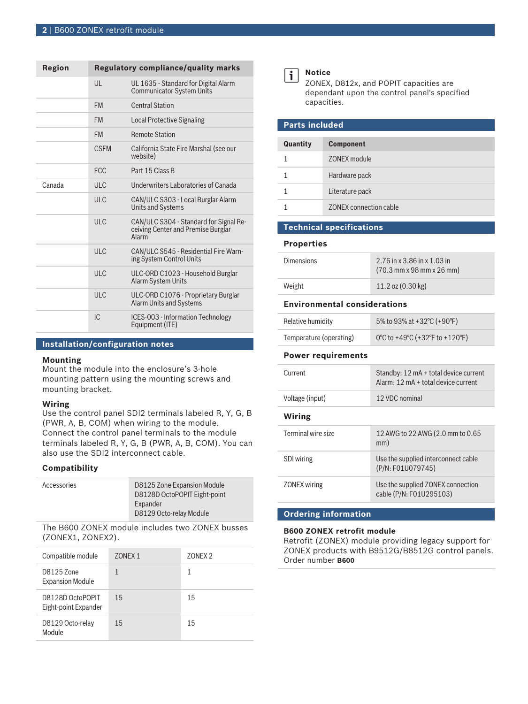| Region |              | <b>Regulatory compliance/quality marks</b>                                                   |
|--------|--------------|----------------------------------------------------------------------------------------------|
|        | $\mathsf{U}$ | UL 1635 - Standard for Digital Alarm<br><b>Communicator System Units</b>                     |
|        | <b>FM</b>    | <b>Central Station</b>                                                                       |
|        | <b>FM</b>    | Local Protective Signaling                                                                   |
|        | <b>FM</b>    | <b>Remote Station</b>                                                                        |
|        | <b>CSEM</b>  | California State Fire Marshal (see our<br>website)                                           |
|        | <b>FCC</b>   | Part 15 Class B                                                                              |
| Canada | ULC          | Underwriters Laboratories of Canada                                                          |
|        | ULC          | CAN/ULC S303 - Local Burglar Alarm<br><b>Units and Systems</b>                               |
|        | ULC          | CAN/ULC S304 - Standard for Signal Re-<br>ceiving Center and Premise Burglar<br><b>Alarm</b> |
|        | ULC          | CAN/ULC S545 - Residential Fire Warn-<br>ing System Control Units                            |
|        | ULC          | ULC-ORD C1023 - Household Burglar<br><b>Alarm System Units</b>                               |
|        | <b>ULC</b>   | ULC-ORD C1076 - Proprietary Burglar<br><b>Alarm Units and Systems</b>                        |
|        | IC           | ICES-003 - Information Technology<br>Equipment (ITE)                                         |

# **Installation/configuration notes**

#### **Mounting**

Mount the module into the enclosure's 3-hole mounting pattern using the mounting screws and mounting bracket.

## **Wiring**

Use the control panel SDI2 terminals labeled R, Y, G, B (PWR, A, B, COM) when wiring to the module. Connect the control panel terminals to the module terminals labeled R, Y, G, B (PWR, A, B, COM). You can also use the SDI2 interconnect cable.

#### **Compatibility**

| Accessories | D8125 Zone Expansion Module  |
|-------------|------------------------------|
|             | D8128D OctoPOPIT Eight-point |
|             | Expander                     |
|             | D8129 Octo-relay Module      |
|             |                              |

The B600 ZONEX module includes two ZONEX busses (ZONEX1, ZONEX2).

| Compatible module                        | 70NFX1 | 70NFX2 |
|------------------------------------------|--------|--------|
| D8125 Zone<br><b>Expansion Module</b>    |        | 1      |
| D8128D OctoPOPIT<br>Eight-point Expander | 15     | 15     |
| D8129 Octo-relay<br>Module               | 15     | 15     |



#### **Notice**

ZONEX, D812x, and POPIT capacities are dependant upon the control panel's specified capacities.

| <b>Parts included</b> |                        |  |
|-----------------------|------------------------|--|
| Quantity              | <b>Component</b>       |  |
|                       |                        |  |
|                       | ZONEX module           |  |
|                       | Hardware pack          |  |
|                       | Literature pack        |  |
|                       | ZONEX connection cable |  |

### **Technical specifications**

**Properties**

| <b>Dimensions</b> | $2.76$ in x 3.86 in x 1.03 in<br>$(70.3 \text{ mm} \times 98 \text{ mm} \times 26 \text{ mm})$ |
|-------------------|------------------------------------------------------------------------------------------------|
| Weight            | 11.2 oz $(0.30 \text{ kg})$                                                                    |

# **Environmental considerations**

| Relative humidity       | 5% to 93% at +32 °C (+90 °F)   |
|-------------------------|--------------------------------|
| Temperature (operating) | 0°C to +49°C (+32°F to +120°F) |

#### **Power requirements**

| Current             | Standby: 12 mA + total device current<br>Alarm: $12 \text{ mA} + \text{total device current}$ |
|---------------------|-----------------------------------------------------------------------------------------------|
| Voltage (input)     | 12 VDC nominal                                                                                |
| Wiring              |                                                                                               |
| Terminal wire size  | 12 AWG to 22 AWG (2.0 mm to 0.65<br>mm)                                                       |
| <b>SDI</b> wiring   | Use the supplied interconnect cable<br>(P/N: F01U079745)                                      |
| <b>ZONEX</b> wiring | Use the supplied ZONEX connection<br>cable (P/N: F01U295103)                                  |

# **Ordering information**

#### **B600 ZONEX retrofit module**

Retrofit (ZONEX) module providing legacy support for ZONEX products with B9512G/B8512G control panels. Order number **B600**